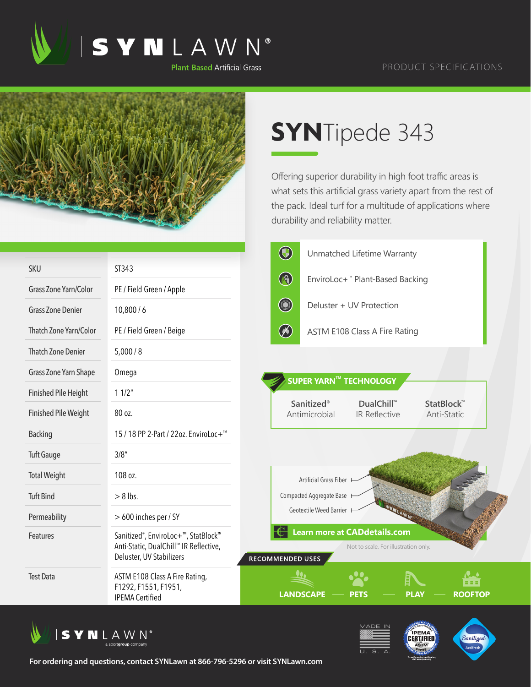

## PRODUCT SPECIFICATIONS



## **SYN**Tipede 343

Offering superior durability in high foot traffic areas is what sets this artificial grass variety apart from the rest of the pack. Ideal turf for a multitude of applications where durability and reliability matter.

|                              |                                                                                                                                     | $\bigcirc$       |                               | Unmatched Lifetime Warranty                                                 |                                       |  |
|------------------------------|-------------------------------------------------------------------------------------------------------------------------------------|------------------|-------------------------------|-----------------------------------------------------------------------------|---------------------------------------|--|
| <b>SKU</b>                   | ST343                                                                                                                               |                  |                               |                                                                             |                                       |  |
| <b>Grass Zone Yarn/Color</b> | PE / Field Green / Apple                                                                                                            | $\bigcirc$       |                               | EnviroLoc+™ Plant-Based Backing                                             |                                       |  |
| <b>Grass Zone Denier</b>     | 10,800/6                                                                                                                            | <b>Company</b>   |                               | Deluster + UV Protection                                                    |                                       |  |
| Thatch Zone Yarn/Color       | PE / Field Green / Beige                                                                                                            | $\circledast$    |                               | <b>ASTM E108 Class A Fire Rating</b>                                        |                                       |  |
| <b>Thatch Zone Denier</b>    | 5,000/8                                                                                                                             |                  |                               |                                                                             |                                       |  |
| Grass Zone Yarn Shape        | Omega                                                                                                                               |                  | <b>SUPER YARN™ TECHNOLOGY</b> |                                                                             |                                       |  |
| <b>Finished Pile Height</b>  | 11/2"                                                                                                                               |                  |                               |                                                                             |                                       |  |
| <b>Finished Pile Weight</b>  | 80 oz.                                                                                                                              |                  | Sanitized®<br>Antimicrobial   | <b>DualChill™</b><br>IR Reflective                                          | StatBlock <sup>™</sup><br>Anti-Static |  |
| <b>Backing</b>               | 15 / 18 PP 2-Part / 22oz. EnviroLoc+ <sup>™</sup>                                                                                   |                  |                               |                                                                             |                                       |  |
| <b>Tuft Gauge</b>            | 3/8''                                                                                                                               |                  |                               |                                                                             |                                       |  |
| <b>Total Weight</b>          | 108 oz.                                                                                                                             |                  | Artificial Grass Fiber        |                                                                             |                                       |  |
| <b>Tuft Bind</b>             | $> 8$ lbs.                                                                                                                          |                  | Compacted Aggregate Base      |                                                                             |                                       |  |
| Permeability                 | > 600 inches per / SY                                                                                                               |                  | Geotextile Weed Barrier H     |                                                                             |                                       |  |
| Features                     | Sanitized <sup>®</sup> , EnviroLoc+ <sup>™</sup> , StatBlock™<br>Anti-Static, DualChill™ IR Reflective,<br>Deluster, UV Stabilizers | RECOMMENDED USES |                               | <b>Learn more at CADdetails.com</b><br>Not to scale. For illustration only. |                                       |  |
| <b>Test Data</b>             | ASTM E108 Class A Fire Rating,<br>F1292, F1551, F1951,<br><b>IPEMA Certified</b>                                                    | <b>LANDSCAPE</b> |                               | <b>PLAY</b><br><b>PETS</b>                                                  | 88 B.<br><b>ROOFTOP</b>               |  |







**For ordering and questions, contact SYNLawn at 866-796-5296 or visit SYNLawn.com**